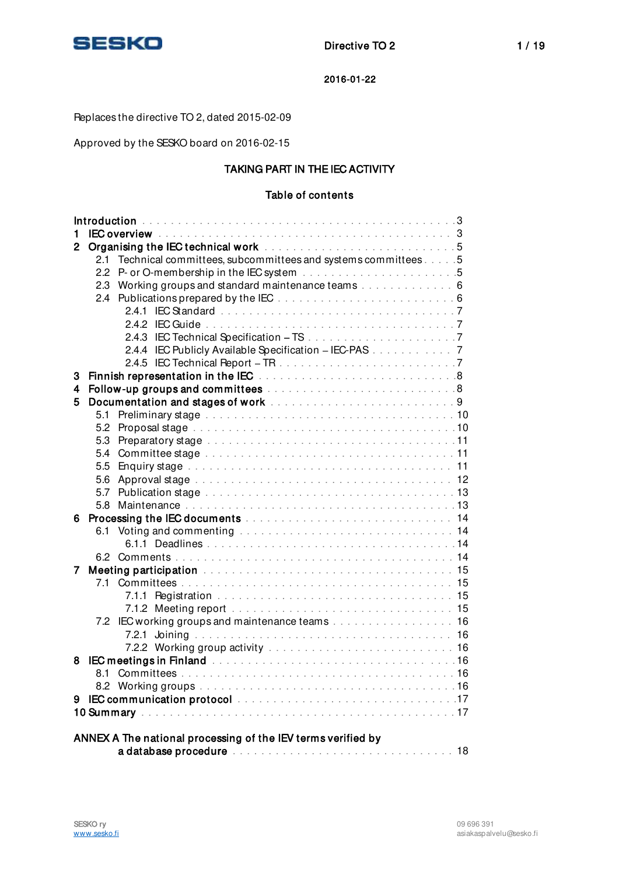

# Replaces the directive TO 2, dated 2015-02-09

Approved by the SESKO board on 2016-02-15

# TAKING PART IN THE IEC ACTIVITY

# Table of contents

| IEC overview with a state of the state of the state of the state of the state of the S<br>1                                                                                                                                                   |  |  |  |  |  |
|-----------------------------------------------------------------------------------------------------------------------------------------------------------------------------------------------------------------------------------------------|--|--|--|--|--|
| Organising the IEC technical work [1] [1] Dramatic Line and Line and Line and Line and Line and Line and Line and Line and Line and Line and Line and Line and Line and Line and Line and Line and Line and Line and Line and<br>$\mathbf{2}$ |  |  |  |  |  |
| Technical committees, subcommittees and systems committees 5<br>2.1                                                                                                                                                                           |  |  |  |  |  |
|                                                                                                                                                                                                                                               |  |  |  |  |  |
| Working groups and standard maintenance teams 6<br>2.3                                                                                                                                                                                        |  |  |  |  |  |
| 2.4                                                                                                                                                                                                                                           |  |  |  |  |  |
|                                                                                                                                                                                                                                               |  |  |  |  |  |
|                                                                                                                                                                                                                                               |  |  |  |  |  |
|                                                                                                                                                                                                                                               |  |  |  |  |  |
| 2.4.4 IEC Publicly Available Specification - IEC-PAS 7                                                                                                                                                                                        |  |  |  |  |  |
|                                                                                                                                                                                                                                               |  |  |  |  |  |
| 3                                                                                                                                                                                                                                             |  |  |  |  |  |
| 4                                                                                                                                                                                                                                             |  |  |  |  |  |
| 5                                                                                                                                                                                                                                             |  |  |  |  |  |
| 5.1                                                                                                                                                                                                                                           |  |  |  |  |  |
| 5.2                                                                                                                                                                                                                                           |  |  |  |  |  |
| 5.3                                                                                                                                                                                                                                           |  |  |  |  |  |
| 5.4                                                                                                                                                                                                                                           |  |  |  |  |  |
| 5.5                                                                                                                                                                                                                                           |  |  |  |  |  |
| 5.6                                                                                                                                                                                                                                           |  |  |  |  |  |
| 5.7                                                                                                                                                                                                                                           |  |  |  |  |  |
| 5.8                                                                                                                                                                                                                                           |  |  |  |  |  |
| 6                                                                                                                                                                                                                                             |  |  |  |  |  |
| 6.1                                                                                                                                                                                                                                           |  |  |  |  |  |
|                                                                                                                                                                                                                                               |  |  |  |  |  |
|                                                                                                                                                                                                                                               |  |  |  |  |  |
| Meeting participation <i>witch contained a contained a contained a contained a contained a contained a contained a</i><br>7                                                                                                                   |  |  |  |  |  |
|                                                                                                                                                                                                                                               |  |  |  |  |  |
|                                                                                                                                                                                                                                               |  |  |  |  |  |
|                                                                                                                                                                                                                                               |  |  |  |  |  |
| 7.2 IEC working groups and maintenance teams 16                                                                                                                                                                                               |  |  |  |  |  |
|                                                                                                                                                                                                                                               |  |  |  |  |  |
|                                                                                                                                                                                                                                               |  |  |  |  |  |
| <b>IEC meetings in Finland</b> because the contract of the contract of the <b>IEC meetings in Finland</b><br>8                                                                                                                                |  |  |  |  |  |
| 8.1                                                                                                                                                                                                                                           |  |  |  |  |  |
|                                                                                                                                                                                                                                               |  |  |  |  |  |
| 9                                                                                                                                                                                                                                             |  |  |  |  |  |
|                                                                                                                                                                                                                                               |  |  |  |  |  |
|                                                                                                                                                                                                                                               |  |  |  |  |  |
| ANNEX A The national processing of the IEV terms verified by                                                                                                                                                                                  |  |  |  |  |  |
|                                                                                                                                                                                                                                               |  |  |  |  |  |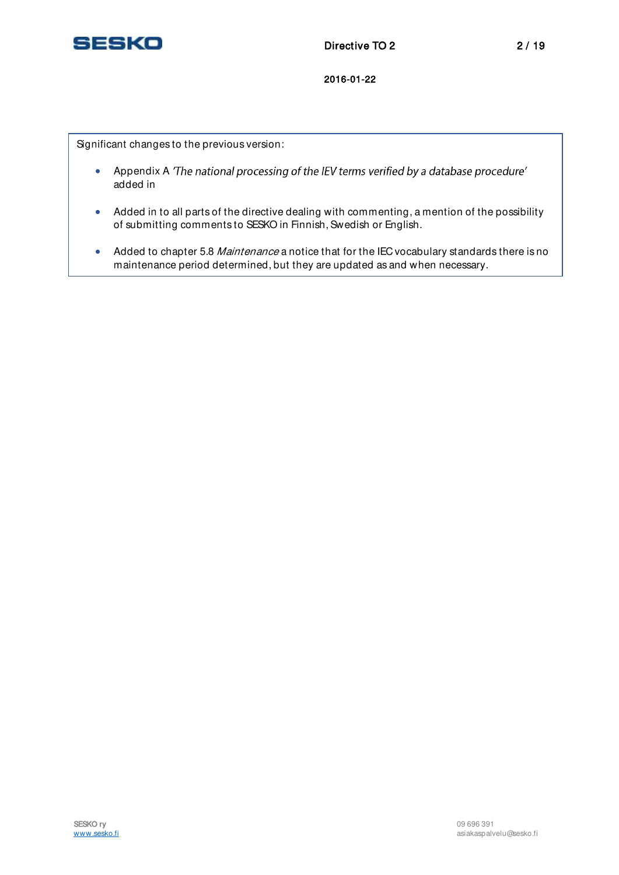

Significant changes to the previous version:

- Appendix A The national processing of the IEV terms verified by a database procedure' added in
- Added in to all parts of the directive dealing with commenting, a mention of the possibility of submitting comments to SESKO in Finnish, Swedish or English.
- Added to chapter 5.8 Maintenance a notice that for the IEC vocabulary standards there is no maintenance period determined, but they are updated as and when necessary.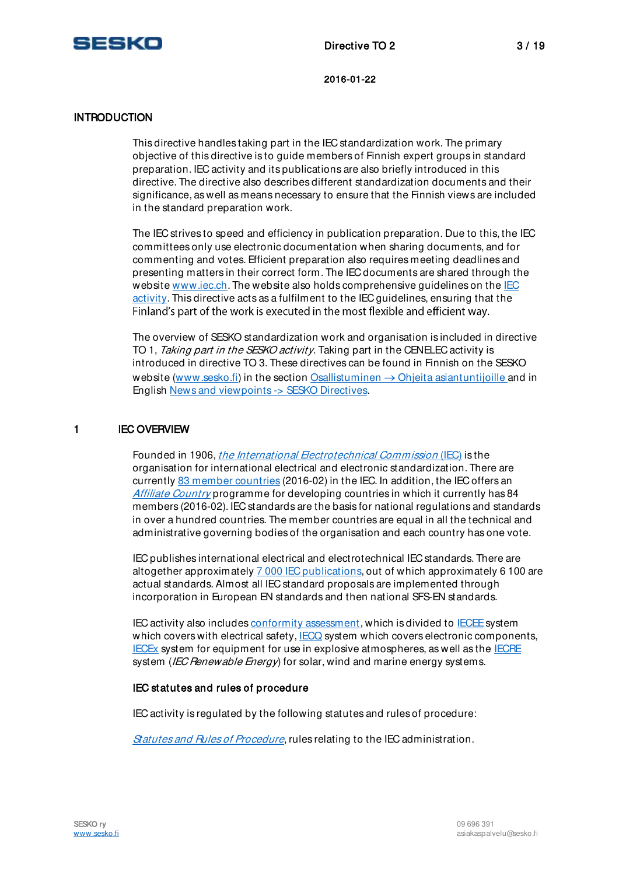

### **INTRODUCTION**

This directive handles taking part in the IEC standardization work. The primary objective of this directive is to guide members of Finnish expert groups in standard preparation. IEC activity and its publications are also briefly introduced in this directive. The directive also describes different standardization documents and their significance, as well as means necessary to ensure that the Finnish views are included in the standard preparation work.

The IEC strives to speed and efficiency in publication preparation. Due to this, the IEC committees only use electronic documentation when sharing documents, and for commenting and votes. Efficient preparation also requires meeting deadlines and presenting matters in their correct form. The IEC documents are shared through the website [www.iec.ch.](http://www.iec.ch/) The website also holds comprehensive quidelines on the IEC [activity.](http://www.iec.ch/standardsdev/how/?ref=menu) This directive acts as a fulfilment to the IEC guidelines, ensuring that the Finland's part of the work is executed in the most flexible and efficient way.

The overview of SESKO standardization work and organisation is included in directive TO 1, Taking part in the SESKO activity. Taking part in the CENELEC activity is introduced in directive TO 3. These directives can be found in Finnish on the SESKO website [\(www.sesko.fi\)](http://www.sesko.fi/) in the section Osallistuminen  $\rightarrow$  [Ohjeita asiantuntijoille](http://www.sesko.fi/osallistuminen/ohjeita_asiantuntijoille) and in English [News and viewpoints -> SESKO Directives.](http://www.sesko.fi/en/news_and_viewpoints/sesko_directives)

### 1 IEC OVERVIEW

Founded in 1906, *the [International Electrotechnical Commission](http://www.iec.ch/)* (IEC) is the organisation for international electrical and electronic standardization. There are currently [83 member countries](http://www.iec.ch/dyn/www/f?p=103:5:17364986109865:::::) (2016-02) in the IEC. In addition, the IEC offers an [Affiliate Country](http://www.iec.ch/dyn/www/f?p=103:9:8999596643936:::::) programme for developing countries in which it currently has 84 members (2016-02). IEC standards are the basis for national regulations and standards in over a hundred countries. The member countries are equal in all the technical and administrative governing bodies of the organisation and each country has one vote.

IEC publishes international electrical and electrotechnical IEC standards. There are altogether approximately [7 000 IEC publications,](http://www.iec.ch/about/activities/facts.htm) out of which approximately 6 100 are actual standards. Almost all IEC standard proposals are implemented through incorporation in European EN standards and then national SFS-EN standards.

IEC activity also include[s conformity assessment,](http://www.iec.ch/conformity/?ref=menu) which is divided to [IECEE](http://www.iecee.org/) system which covers with electrical safety, [IECQ](http://www.iecq.org/index.htm) system which covers electronic components, [IECEx s](http://www.iecex.com/)ystem for equipment for use in explosive atmospheres, as well as the [IECRE](http://www.iecre.org/) system (IEC Renewable Energy) for solar, wind and marine energy systems.

### IEC statutes and rules of procedure

IEC activity is regulated by the following statutes and rules of procedure:

[Statutes and Rules of Procedure](http://www.iec.ch/members_experts/refdocs/iec/stat_2001-2015e.pdf), rules relating to the IEC administration.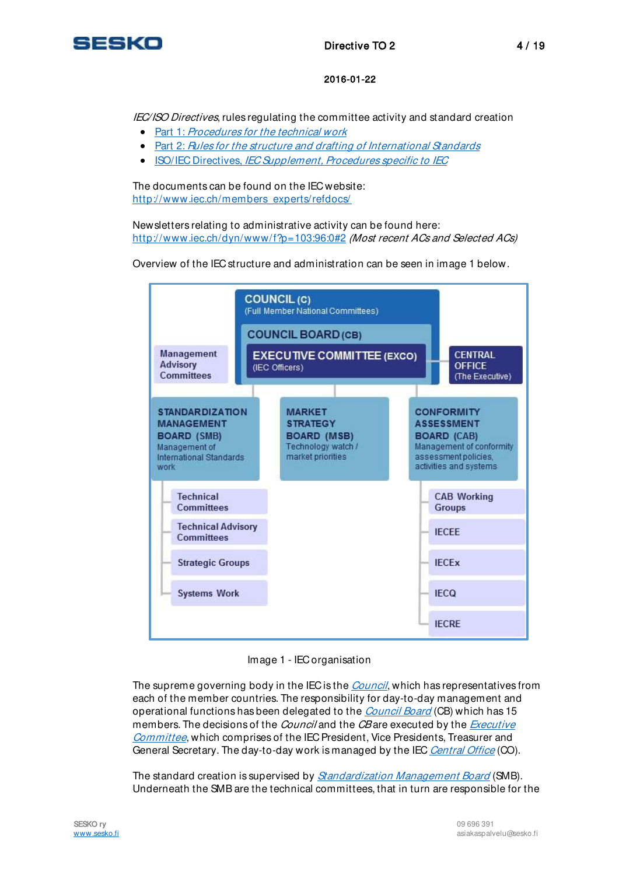

IEC/ISO Directives, rules regulating the committee activity and standard creation

- Part 1: [Procedures for the technical work](http://www.iec.ch/members_experts/refdocs/iec/isoiecdir-1%7Bed11.0%7Den.pdf)
- Part 2: [Rules for the structure and drafting of International Standards](http://www.iec.ch/members_experts/refdocs/iec/isoiec-dir2%7Bed6.0%7Den.pdf)
- ISO/IEC Directives, [IEC Supplement, Procedures specific to IEC](http://www.iec.ch/members_experts/refdocs/iec/isoiecdir-iecsup%7Bed9.0%7Den.pdf)

The documents can be found on the IEC website: [http://www.iec.ch/members\\_experts/refdocs/](http://www.iec.ch/members_experts/refdocs/)

Newsletters relating to administrative activity can be found here: <http://www.iec.ch/dyn/www/f?p=103:96:0#2> (Most recent ACs and Selected ACs)

Overview of the IEC structure and administration can be seen in image 1 below.



Image 1 - IEC organisation

The supreme governing body in the IEC is the *[Council](http://www.iec.ch/dyn/www/f?p=103:65:0::::FSP_ORG_ID,FSP_LANG_ID:3227,25)*, which has representatives from each of the member countries. The responsibility for day-to-day management and operational functions has been delegated to the *[Council Board](http://www.iec.ch/dyn/www/f?p=103:47:0::::FSP_ORG_ID,FSP_LANG_ID:3254,25)* (CB) which has 15 members. The decisions of the *Council* and the *CB* are executed by the *Executive* [Committee](http://www.iec.ch/dyn/www/f?p=103:47:0::::FSP_ORG_ID,FSP_LANG_ID:3255,25), which comprises of the IEC President, Vice Presidents, Treasurer and General Secretary. The day-to-day work is managed by the IEC [Central Office](http://www.iec.ch/about/locations/iec-co/) (CO).

The standard creation is supervised by *[Standardization Management Board](http://www.iec.ch/dyn/www/f?p=103:47:0::::FSP_ORG_ID,FSP_LANG_ID:3228,25)* (SMB). Underneath the SMB are the technical committees, that in turn are responsible for the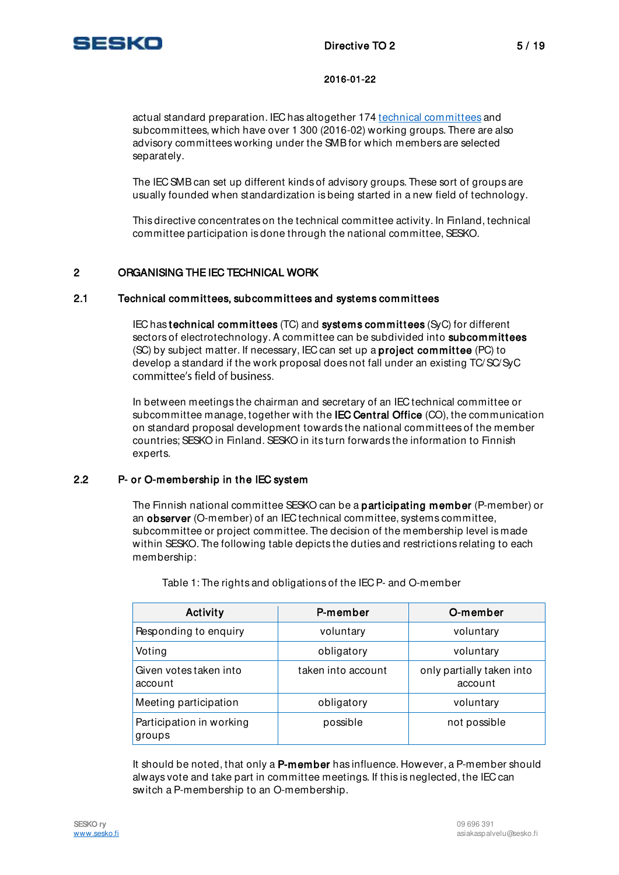

actual standard preparation. IEC has altogether 174 [technical committees](http://www.iec.ch/dyn/www/f?p=103:62:6415649034000:::::) and subcommittees, which have over 1 300 (2016-02) working groups. There are also advisory committees working under the SMB for which members are selected separately.

The IEC SMB can set up different kinds of advisory groups. These sort of groups are usually founded when standardization is being started in a new field of technology.

This directive concentrates on the technical committee activity. In Finland, technical committee participation is done through the national committee, SESKO.

# 2 ORGANISING THE IEC TECHNICAL WORK

### 2.1 Technical committees, subcommittees and systems committees

IEC has technical committees (TC) and systems committees (SyC) for different sectors of electrotechnology. A committee can be subdivided into subcommittees (SC) by subject matter. If necessary, IEC can set up a project committee (PC) to develop a standard if the work proposal does not fall under an existing TC/ SC/SyC committee's field of business.

In between meetings the chairman and secretary of an IEC technical committee or subcommittee manage, together with the **IEC Central Office** (CO), the communication on standard proposal development towards the national committees of the member countries; SESKO in Finland. SESKO in its turn forwards the information to Finnish experts.

### 2.2 P- or O-membership in the IEC system

The Finnish national committee SESKO can be a participating member (P-member) or an observer (O-member) of an IEC technical committee, systems committee, subcommittee or project committee. The decision of the membership level is made within SESKO. The following table depicts the duties and restrictions relating to each membership:

| Activity                           | P-member           | O-member                             |  |
|------------------------------------|--------------------|--------------------------------------|--|
| Responding to enquiry              | voluntary          | voluntary                            |  |
| Voting                             | obligatory         | voluntary                            |  |
| Given votes taken into<br>account  | taken into account | only partially taken into<br>account |  |
| Meeting participation              | obligatory         | voluntary<br>not possible            |  |
| Participation in working<br>groups | possible           |                                      |  |

Table 1: The rights and obligations of the IEC P- and O-member

It should be noted, that only a P-member has influence. However, a P-member should always vote and take part in committee meetings. If this is neglected, the IEC can switch a P-membership to an O-membership.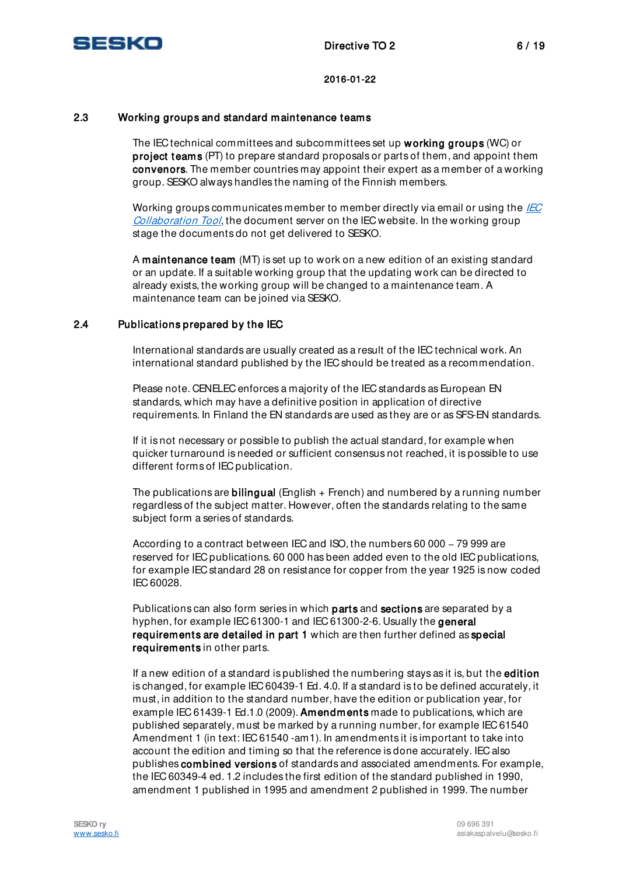

# 2.3 Working groups and standard maintenance teams

The IEC technical committees and subcommittees set up working groups (WC) or project teams (PT) to prepare standard proposals or parts of them, and appoint them convenors. The member countries may appoint their expert as a member of a working group. SESKO always handles the naming of the Finnish members.

Working groups communicates member to member directly via email or using the *IEC* [Collaboration Tool](http://collaboration.iec.ch/), the document server on the IEC website. In the working group stage the documents do not get delivered to SESKO.

A maintenance team (MT) is set up to work on a new edition of an existing standard or an update. If a suitable working group that the updating work can be directed to already exists, the working group will be changed to a maintenance team. A maintenance team can be joined via SESKO.

### 2.4 Publications prepared by the IEC

International standards are usually created as a result of the IEC technical work. An international standard published by the IEC should be treated as a recommendation.

Please note. CENELEC enforces a majority of the IEC standards as European EN standards, which may have a definitive position in application of directive requirements. In Finland the EN standards are used as they are or as SFS-EN standards.

If it is not necessary or possible to publish the actual standard, for example when quicker turnaround is needed or sufficient consensus not reached, it is possible to use different forms of IEC publication.

The publications are **bilingual** (English  $+$  French) and numbered by a running number regardless of the subject matter. However, often the standards relating to the same subject form a series of standards.

According to a contract between IEC and ISO, the numbers  $60000 - 79999$  are reserved for IEC publications. 60 000 has been added even to the old IEC publications, for example IEC standard 28 on resistance for copper from the year 1925 is now coded IEC 60028.

Publications can also form series in which **parts** and **sections** are separated by a hyphen, for example IEC 61300-1 and IEC 61300-2-6. Usually the general requirements are detailed in part 1 which are then further defined as special requirements in other parts.

If a new edition of a standard is published the numbering stays as it is, but the edition is changed, for example IEC 60439-1 Ed. 4.0. If a standard is to be defined accurately, it must, in addition to the standard number, have the edition or publication year, for example IEC 61439-1 Ed.1.0 (2009). Amendments made to publications, which are published separately, must be marked by a running number, for example IEC 61540 Amendment 1 (in text: IEC 61540 -am1). In amendments it is important to take into account the edition and timing so that the reference is done accurately. IEC also publishes combined versions of standards and associated amendments. For example, the IEC 60349-4 ed. 1.2 includes the first edition of the standard published in 1990, amendment 1 published in 1995 and amendment 2 published in 1999. The number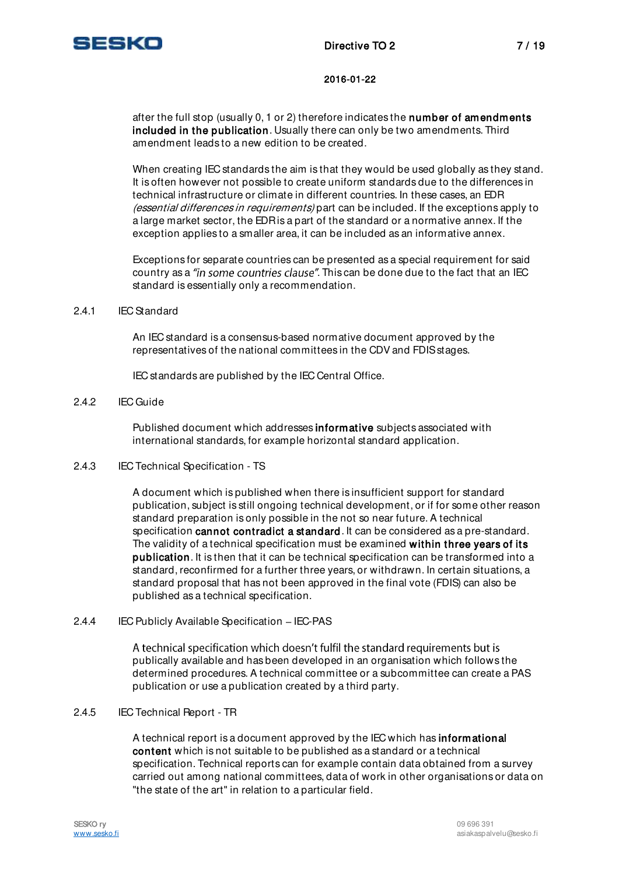

after the full stop (usually 0, 1 or 2) therefore indicates the number of amendments included in the publication. Usually there can only be two amendments. Third amendment leads to a new edition to be created.

When creating IEC standards the aim is that they would be used globally as they stand. It is often however not possible to create uniform standards due to the differences in technical infrastructure or climate in different countries. In these cases, an EDR (essential differences in requirements) part can be included. If the exceptions apply to a large market sector, the EDR is a part of the standard or a normative annex. If the exception applies to a smaller area, it can be included as an informative annex.

Exceptions for separate countries can be presented as a special requirement for said country as a "in some countries clause". This can be done due to the fact that an IEC standard is essentially only a recommendation.

#### 2.4.1 IEC Standard

An IEC standard is a consensus-based normative document approved by the representatives of the national committees in the CDV and FDIS stages.

IEC standards are published by the IEC Central Office.

### 2.4.2 IEC Guide

Published document which addresses informative subjects associated with international standards, for example horizontal standard application.

#### 2.4.3 IEC Technical Specification - TS

A document which is published when there is insufficient support for standard publication, subject is still ongoing technical development, or if for some other reason standard preparation is only possible in the not so near future. A technical specification cannot contradict a standard. It can be considered as a pre-standard. The validity of a technical specification must be examined within three years of its publication. It is then that it can be technical specification can be transformed into a standard, reconfirmed for a further three years, or withdrawn. In certain situations, a standard proposal that has not been approved in the final vote (FDIS) can also be published as a technical specification.

#### $2.4.4$  IEC Publicly Available Specification - IEC-PAS

A technical specification which doesn't fulfil the standard requirements but is publically available and has been developed in an organisation which follows the determined procedures. A technical committee or a subcommittee can create a PAS publication or use a publication created by a third party.

#### 2.4.5 IEC Technical Report - TR

A technical report is a document approved by the IEC which has informational content which is not suitable to be published as a standard or a technical specification. Technical reports can for example contain data obtained from a survey carried out among national committees, data of work in other organisations or data on "the state of the art" in relation to a particular field.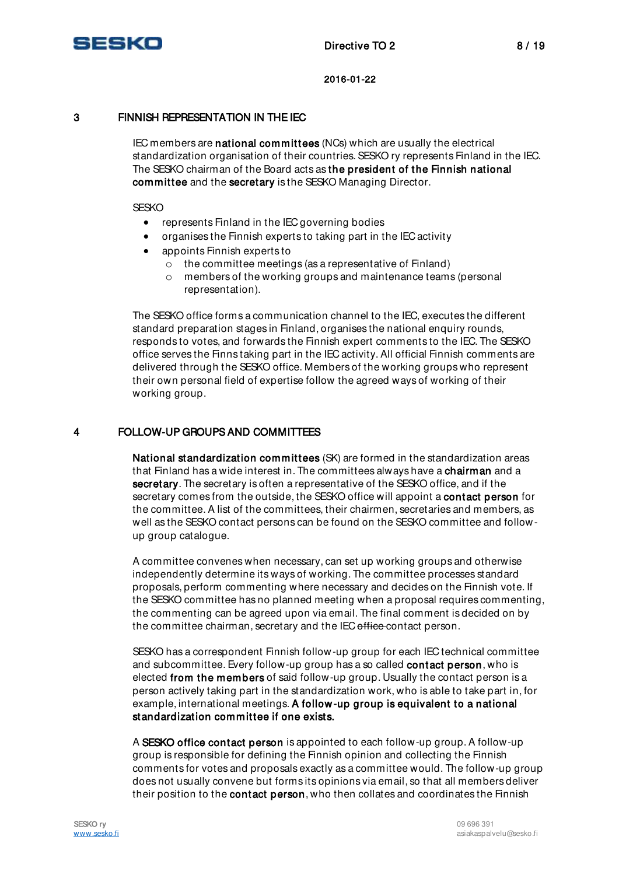

# 3 FINNISH REPRESENTATION IN THE IEC

IEC members are national committees (NCs) which are usually the electrical standardization organisation of their countries. SESKO ry represents Finland in the IEC. The SESKO chairman of the Board acts as the president of the Finnish national committee and the secretary is the SESKO Managing Director.

**SESKO** 

- represents Finland in the IEC governing bodies
- organises the Finnish experts to taking part in the IEC activity
- appoints Finnish experts to
	- o the committee meetings (as a representative of Finland)
	- o members of the working groups and maintenance teams (personal representation).

The SESKO office forms a communication channel to the IEC, executes the different standard preparation stages in Finland, organises the national enquiry rounds, responds to votes, and forwards the Finnish expert comments to the IEC. The SESKO office serves the Finns taking part in the IEC activity. All official Finnish comments are delivered through the SESKO office. Members of the working groups who represent their own personal field of expertise follow the agreed ways of working of their working group.

### 4 FOLLOW-UP GROUPS AND COMMITTEES

National standardization committees (SK) are formed in the standardization areas that Finland has a wide interest in. The committees always have a chairman and a secretary. The secretary is often a representative of the SESKO office, and if the secretary comes from the outside, the SESKO office will appoint a contact person for the committee. A list of the committees, their chairmen, secretaries and members, as well as the SESKO contact persons can be found on the SESKO committee and followup group catalogue.

A committee convenes when necessary, can set up working groups and otherwise independently determine its ways of working. The committee processes standard proposals, perform commenting where necessary and decides on the Finnish vote. If the SESKO committee has no planned meeting when a proposal requires commenting, the commenting can be agreed upon via email. The final comment is decided on by the committee chairman, secretary and the IEC office contact person.

SESKO has a correspondent Finnish follow-up group for each IEC technical committee and subcommittee. Every follow-up group has a so called contact person, who is elected from the members of said follow-up group. Usually the contact person is a person actively taking part in the standardization work, who is able to take part in, for example, international meetings. A follow-up group is equivalent to a national standardization committee if one exists.

A SESKO office contact person is appointed to each follow-up group. A follow-up group is responsible for defining the Finnish opinion and collecting the Finnish comments for votes and proposals exactly as a committee would. The follow-up group does not usually convene but forms its opinions via email, so that all members deliver their position to the **contact person**, who then collates and coordinates the Finnish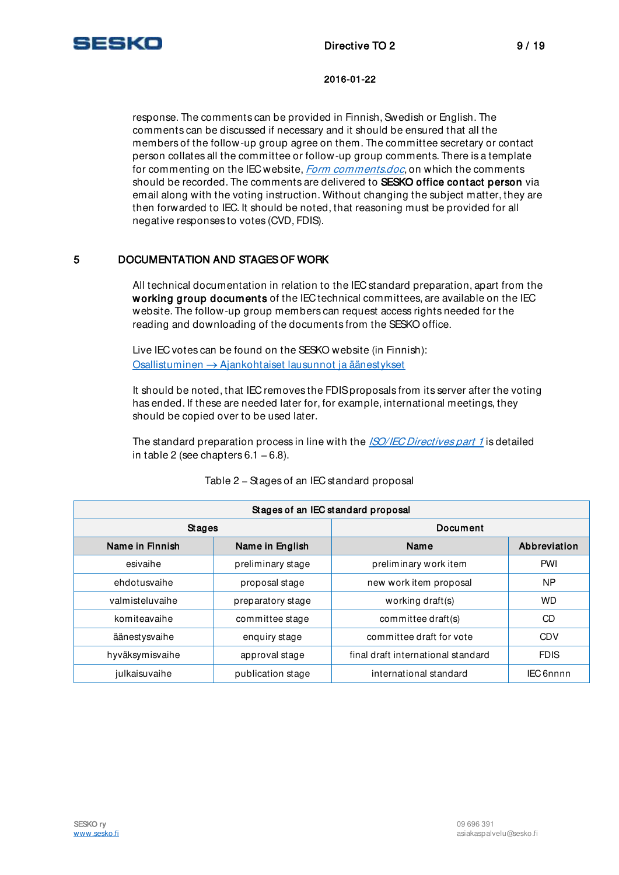

response. The comments can be provided in Finnish, Swedish or English. The comments can be discussed if necessary and it should be ensured that all the members of the follow-up group agree on them. The committee secretary or contact person collates all the committee or follow-up group comments. There is a template for commenting on the IEC website, *[Form comments.doc](http://www.iec.ch/standardsdev/resources/forms_templates/documents/Form-Comments.doc)*, on which the comments should be recorded. The comments are delivered to SESKO office contact person via email along with the voting instruction. Without changing the subject matter, they are then forwarded to IEC. It should be noted, that reasoning must be provided for all negative responses to votes (CVD, FDIS).

# 5 DOCUMENTATION AND STAGES OF WORK

All technical documentation in relation to the IEC standard preparation, apart from the working group documents of the IEC technical committees, are available on the IEC website. The follow-up group members can request access rights needed for the reading and downloading of the documents from the SESKO office.

Live IEC votes can be found on the SESKO website (in Finnish): Osallistuminen  $\rightarrow$  Ajankohtaiset lausunnot ja äänestykset

It should be noted, that IEC removes the FDIS proposals from its server after the voting has ended. If these are needed later for, for example, international meetings, they should be copied over to be used later.

The standard preparation process in line with the **[ISO/IEC Directives part 1](http://www.iec.ch/members_experts/refdocs/iec/isoiecdir-1%7Bed11.0%7Den.pdf)** is detailed in table 2 (see chapters  $6.1 - 6.8$ ).

| Stages of an IEC standard proposal |                   |                                    |              |  |  |  |
|------------------------------------|-------------------|------------------------------------|--------------|--|--|--|
| Stages                             |                   | Document                           |              |  |  |  |
| Name in Finnish                    | Name in English   | Name                               | Abbreviation |  |  |  |
| esivaihe                           | preliminary stage | preliminary work item              | PWI          |  |  |  |
| ehdotusvaihe                       | proposal stage    | new work item proposal             | <b>NP</b>    |  |  |  |
| valmisteluvaihe                    | preparatory stage | working draft(s)                   | <b>WD</b>    |  |  |  |
| komiteavaihe                       | committee stage   | committee draft(s)                 | CD           |  |  |  |
| äänestysvaihe                      | enquiry stage     | committee draft for vote           | <b>CDV</b>   |  |  |  |
| hyväksymisvaihe                    | approval stage    | final draft international standard | <b>FDIS</b>  |  |  |  |
| julkaisuvaihe                      | publication stage | international standard             | IEC 6nnnn    |  |  |  |

Table 2 - Stages of an IEC standard proposal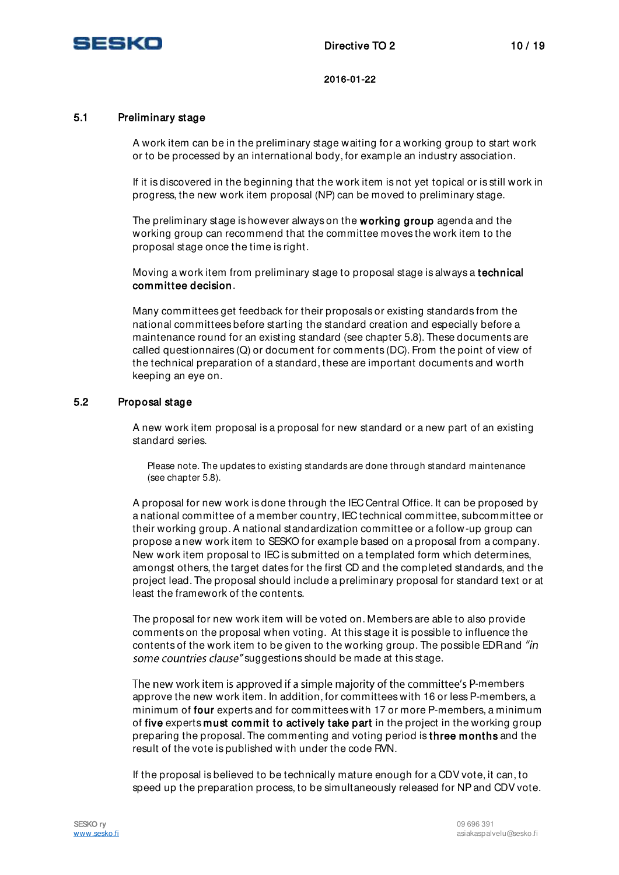

### 5.1 Preliminary stage

A work item can be in the preliminary stage waiting for a working group to start work or to be processed by an international body, for example an industry association.

If it is discovered in the beginning that the work item is not yet topical or is still work in progress, the new work item proposal (NP) can be moved to preliminary stage.

The preliminary stage is however always on the working group agenda and the working group can recommend that the committee moves the work item to the proposal stage once the time is right.

Moving a work item from preliminary stage to proposal stage is always a technical committee decision.

Many committees get feedback for their proposals or existing standards from the national committees before starting the standard creation and especially before a maintenance round for an existing standard (see chapter 5.8). These documents are called questionnaires (Q) or document for comments (DC). From the point of view of the technical preparation of a standard, these are important documents and worth keeping an eye on.

### 5.2 Proposal stage

A new work item proposal is a proposal for new standard or a new part of an existing standard series.

Please note. The updates to existing standards are done through standard maintenance (see chapter 5.8).

A proposal for new work is done through the IEC Central Office. It can be proposed by a national committee of a member country, IEC technical committee, subcommittee or their working group. A national standardization committee or a follow-up group can propose a new work item to SESKO for example based on a proposal from a company. New work item proposal to IEC is submitted on a templated form which determines, amongst others, the target dates for the first CD and the completed standards, and the project lead. The proposal should include a preliminary proposal for standard text or at least the framework of the contents.

The proposal for new work item will be voted on. Members are able to also provide comments on the proposal when voting. At this stage it is possible to influence the contents of the work item to be given to the working group. The possible EDR and "in" some countries clause" suggestions should be made at this stage.

The new work item is approved if a simple majority of the committee's P-members approve the new work item. In addition, for committees with 16 or less P-members, a minimum of four experts and for committees with 17 or more P-members, a minimum of five experts must commit to actively take part in the project in the working group preparing the proposal. The commenting and voting period is three months and the result of the vote is published with under the code RVN.

If the proposal is believed to be technically mature enough for a CDV vote, it can, to speed up the preparation process, to be simultaneously released for NP and CDV vote.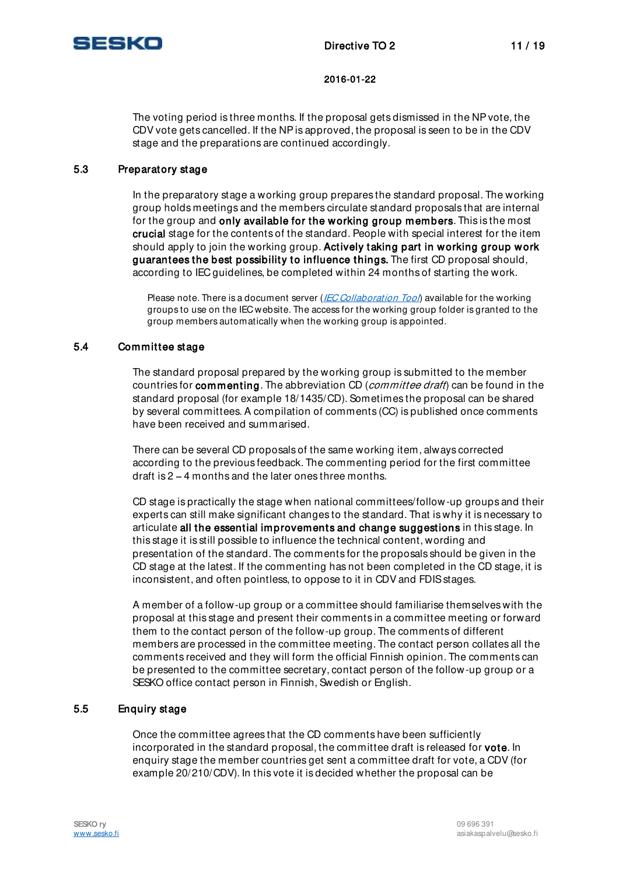

The voting period is three months. If the proposal gets dismissed in the NP vote, the CDV vote gets cancelled. If the NP is approved, the proposal is seen to be in the CDV stage and the preparations are continued accordingly.

### 5.3 Preparatory stage

In the preparatory stage a working group prepares the standard proposal. The working group holds meetings and the members circulate standard proposals that are internal for the group and only available for the working group members. This is the most crucial stage for the contents of the standard. People with special interest for the item should apply to join the working group. Actively taking part in working group work guarantees the best possibility to influence things. The first CD proposal should, according to IEC guidelines, be completed within 24 months of starting the work.

Please note. There is a document server (*[IEC Collaboration Tool](http://collaborationclc.iec.ch/)*) available for the working groups to use on the IEC website. The access for the working group folder is granted to the group members automatically when the working group is appointed.

### 5.4 Committee stage

The standard proposal prepared by the working group is submitted to the member countries for commenting. The abbreviation CD (committee draft) can be found in the standard proposal (for example 18/1435/CD). Sometimes the proposal can be shared by several committees. A compilation of comments (CC) is published once comments have been received and summarised.

There can be several CD proposals of the same working item, always corrected according to the previous feedback. The commenting period for the first committee draft is  $2 - 4$  months and the later ones three months.

CD stage is practically the stage when national committees/follow-up groups and their experts can still make significant changes to the standard. That is why it is necessary to articulate all the essential improvements and change suggestions in this stage. In this stage it is still possible to influence the technical content, wording and presentation of the standard. The comments for the proposals should be given in the CD stage at the latest. If the commenting has not been completed in the CD stage, it is inconsistent, and often pointless, to oppose to it in CDV and FDIS stages.

A member of a follow-up group or a committee should familiarise themselves with the proposal at this stage and present their comments in a committee meeting or forward them to the contact person of the follow-up group. The comments of different members are processed in the committee meeting. The contact person collates all the comments received and they will form the official Finnish opinion. The comments can be presented to the committee secretary, contact person of the follow-up group or a SESKO office contact person in Finnish, Swedish or English.

# 5.5 Enquiry stage

Once the committee agrees that the CD comments have been sufficiently incorporated in the standard proposal, the committee draft is released for vote. In enquiry stage the member countries get sent a committee draft for vote, a CDV (for example 20/210/CDV). In this vote it is decided whether the proposal can be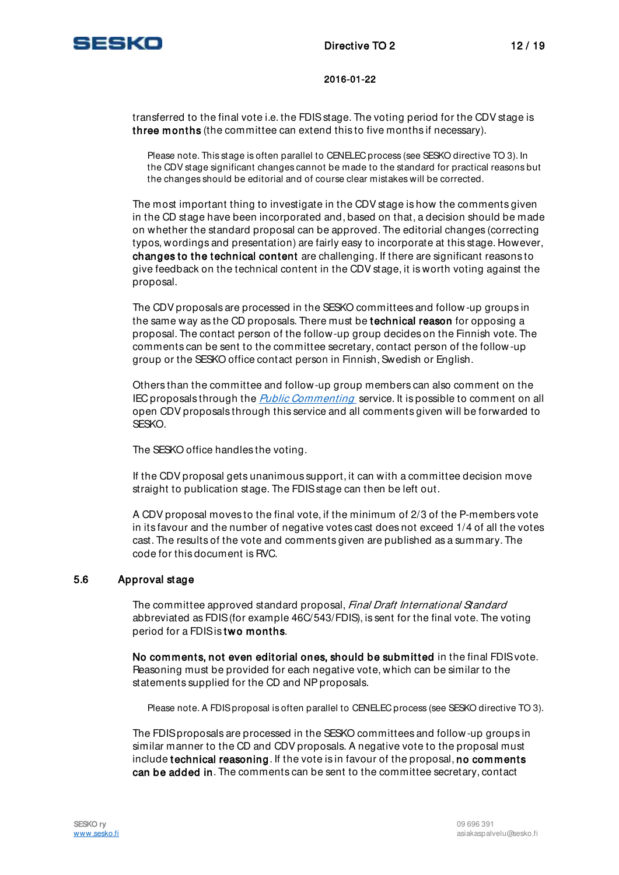

transferred to the final vote i.e. the FDIS stage. The voting period for the CDV stage is three months (the committee can extend this to five months if necessary).

Please note. This stage is often parallel to CENELEC process (see SESKO directive TO 3). In the CDV stage significant changes cannot be made to the standard for practical reasons but the changes should be editorial and of course clear mistakes will be corrected.

The most important thing to investigate in the CDV stage is how the comments given in the CD stage have been incorporated and, based on that, a decision should be made on whether the standard proposal can be approved. The editorial changes (correcting typos, wordings and presentation) are fairly easy to incorporate at this stage. However, changes to the technical content are challenging. If there are significant reasons to give feedback on the technical content in the CDV stage, it is worth voting against the proposal.

The CDV proposals are processed in the SESKO committees and follow-up groups in the same way as the CD proposals. There must be technical reason for opposing a proposal. The contact person of the follow-up group decides on the Finnish vote. The comments can be sent to the committee secretary, contact person of the follow-up group or the SESKO office contact person in Finnish, Swedish or English.

Others than the committee and follow-up group members can also comment on the IEC proposals through the *Public Commenting* service. It is possible to comment on all open CDV proposals through this service and all comments given will be forwarded to SESKO.

The SESKO office handles the voting.

If the CDV proposal gets unanimous support, it can with a committee decision move straight to publication stage. The FDIS stage can then be left out.

A CDV proposal moves to the final vote, if the minimum of 2/3 of the P-members vote in its favour and the number of negative votes cast does not exceed 1/4 of all the votes cast. The results of the vote and comments given are published as a summary. The code for this document is RVC.

### 5.6 Approval stage

The committee approved standard proposal, Final Draft International Standard abbreviated as FDIS (for example 46C/543/FDIS), is sent for the final vote. The voting period for a FDIS is two months.

No comments, not even editorial ones, should be submitted in the final FDIS vote. Reasoning must be provided for each negative vote, which can be similar to the statements supplied for the CD and NP proposals.

Please note. A FDIS proposal is often parallel to CENELEC process (see SESKO directive TO 3).

The FDIS proposals are processed in the SESKO committees and follow-up groups in similar manner to the CD and CDV proposals. A negative vote to the proposal must include technical reasoning. If the vote is in favour of the proposal, no comments can be added in. The comments can be sent to the committee secretary, contact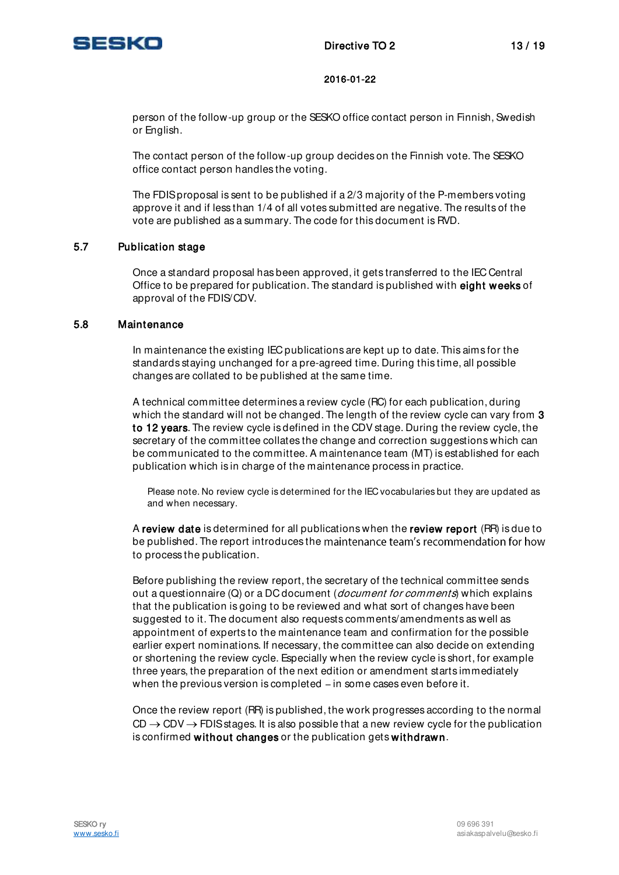

person of the follow-up group or the SESKO office contact person in Finnish, Swedish or English.

The contact person of the follow-up group decides on the Finnish vote. The SESKO office contact person handles the voting.

The FDIS proposal is sent to be published if a 2/3 majority of the P-members voting approve it and if less than 1/4 of all votes submitted are negative. The results of the vote are published as a summary. The code for this document is RVD.

### 5.7 Publication stage

Once a standard proposal has been approved, it gets transferred to the IEC Central Office to be prepared for publication. The standard is published with eight weeks of approval of the FDIS/CDV.

### 5.8 Maintenance

In maintenance the existing IEC publications are kept up to date. This aims for the standards staying unchanged for a pre-agreed time. During this time, all possible changes are collated to be published at the same time.

A technical committee determines a review cycle (RC) for each publication, during which the standard will not be changed. The length of the review cycle can vary from 3 to 12 years. The review cycle is defined in the CDV stage. During the review cycle, the secretary of the committee collates the change and correction suggestions which can be communicated to the committee. A maintenance team (MT) is established for each publication which is in charge of the maintenance process in practice.

Please note. No review cycle is determined for the IEC vocabularies but they are updated as and when necessary.

A review date is determined for all publications when the review report (RR) is due to be published. The report introduces the maintenance team's recommendation for how to process the publication.

Before publishing the review report, the secretary of the technical committee sends out a questionnaire  $(Q)$  or a DC document (*document for comments*) which explains that the publication is going to be reviewed and what sort of changes have been suggested to it. The document also requests comments/amendments as well as appointment of experts to the maintenance team and confirmation for the possible earlier expert nominations. If necessary, the committee can also decide on extending or shortening the review cycle. Especially when the review cycle is short, for example three years, the preparation of the next edition or amendment starts immediately when the previous version is completed  $-$  in some cases even before it.

Once the review report (RR) is published, the work progresses according to the normal  $CD \rightarrow CDV \rightarrow FDIS$  stages. It is also possible that a new review cycle for the publication is confirmed without changes or the publication gets withdrawn.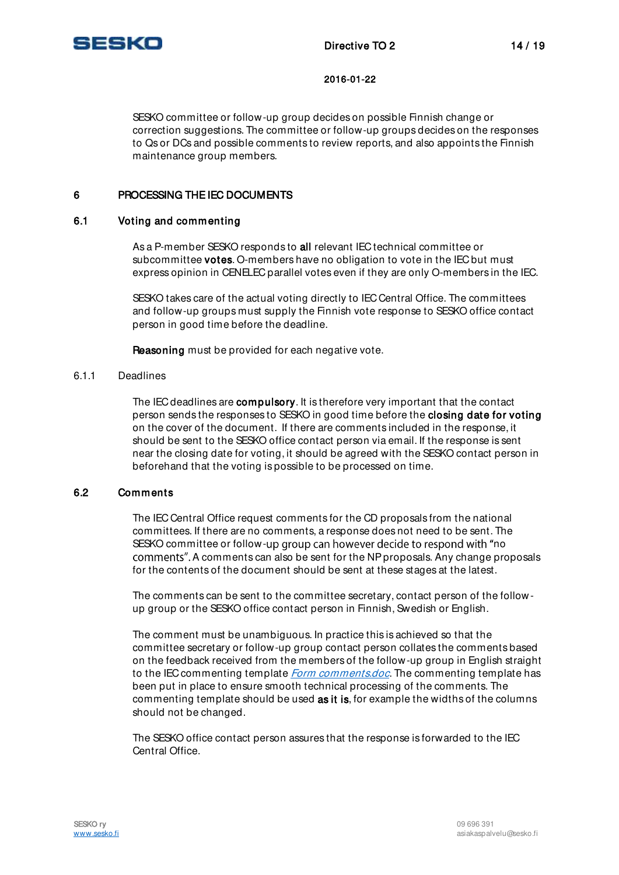

SESKO committee or follow-up group decides on possible Finnish change or correction suggestions. The committee or follow-up groups decides on the responses to Qs or DCs and possible comments to review reports, and also appoints the Finnish maintenance group members.

# 6 PROCESSING THE IEC DOCUMENTS

### 6.1 Voting and commenting

As a P-member SESKO responds to all relevant IEC technical committee or subcommittee **votes**. O-members have no obligation to vote in the IEC but must express opinion in CENELEC parallel votes even if they are only O-members in the IEC.

SESKO takes care of the actual voting directly to IEC Central Office. The committees and follow-up groups must supply the Finnish vote response to SESKO office contact person in good time before the deadline.

Reasoning must be provided for each negative vote.

#### 6.1.1 Deadlines

The IEC deadlines are compulsory. It is therefore very important that the contact person sends the responses to SESKO in good time before the closing date for voting on the cover of the document. If there are comments included in the response, it should be sent to the SESKO office contact person via email. If the response is sent near the closing date for voting, it should be agreed with the SESKO contact person in beforehand that the voting is possible to be processed on time.

### 6.2 Comments

The IEC Central Office request comments for the CD proposals from the national committees. If there are no comments, a response does not need to be sent. The SESKO committee or follow-up group can however decide to respond with "no comments". A comments can also be sent for the NP proposals. Any change proposals for the contents of the document should be sent at these stages at the latest.

The comments can be sent to the committee secretary, contact person of the followup group or the SESKO office contact person in Finnish, Swedish or English.

The comment must be unambiguous. In practice this is achieved so that the committee secretary or follow-up group contact person collates the comments based on the feedback received from the members of the follow-up group in English straight to the IEC commenting template *[Form comments.doc](http://www.iec.ch/standardsdev/resources/forms_templates/documents/Form-Comments.doc)*. The commenting template has been put in place to ensure smooth technical processing of the comments. The commenting template should be used as it is, for example the widths of the columns should not be changed.

The SESKO office contact person assures that the response is forwarded to the IEC Central Office.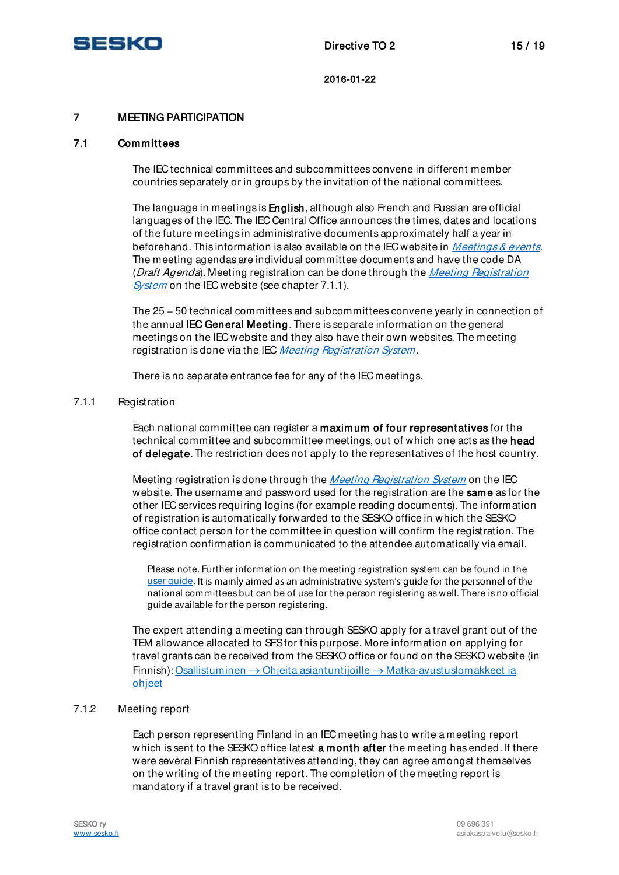

# 7 MEETING PARTICIPATION

### 7.1 Committees

The IEC technical committees and subcommittees convene in different member countries separately or in groups by the invitation of the national committees.

The language in meetings is English, although also French and Russian are official languages of the IEC. The IEC Central Office announces the times, dates and locations of the future meetings in administrative documents approximately half a year in beforehand. This information is also available on the IEC website in *[Meetings & events.](http://www.iec.ch/dyn/www/f?p=103:49:11200201696209)* The meeting agendas are individual committee documents and have the code DA (Draft Agenda). Meeting registration can be done through the Meeting Registration [System](http://meetings.iec.ch/) on the IEC website (see chapter 7.1.1).

The 25 - 50 technical committees and subcommittees convene yearly in connection of the annual IEC General Meeting. There is separate information on the general meetings on the IEC website and they also have their own websites. The meeting registration is done via the IEC [Meeting Registration System](http://meetings.iec.ch/).

There is no separate entrance fee for any of the IEC meetings.

#### 7.1.1 Registration

Each national committee can register a maximum of four representatives for the technical committee and subcommittee meetings, out of which one acts as the head of delegate. The restriction does not apply to the representatives of the host country.

Meeting registration is done through the *[Meeting Registration System](http://meetings.iec.ch/)* on the IEC website. The username and password used for the registration are the **same** as for the other IEC services requiring logins (for example reading documents). The information of registration is automatically forwarded to the SESKO office in which the SESKO office contact person for the committee in question will confirm the registration. The registration confirmation is communicated to the attendee automatically via email.

Please note. Further information on the meeting registration system can be found in the [user guide.](http://www.iec.ch/members_experts/tools/pdf/MRSGuide-NC.pdf) It is mainly aimed as an administrative system's quide for the personnel of the national committees but can be of use for the person registering as well. There is no official guide available for the person registering.

The expert attending a meeting can through SESKO apply for a travel grant out of the TEM allowance allocated to SFS for this purpose. More information on applying for travel grants can be received from the SESKO office or found on the SESKO website (in Finnish): Osallistuminen  $\rightarrow$  Ohjeita asiantuntijoille  $\rightarrow$  Matka-avustuslomakkeet ja [ohjeet](http://www.sesko.fi/osallistuminen/ohjeita_asiantuntijoille/matka-avustuslomakkeet_ja_ohjeet)

### 7.1.2 Meeting report

Each person representing Finland in an IEC meeting has to write a meeting report which is sent to the SESKO office latest a month after the meeting has ended. If there were several Finnish representatives attending, they can agree amongst themselves on the writing of the meeting report. The completion of the meeting report is mandatory if a travel grant is to be received.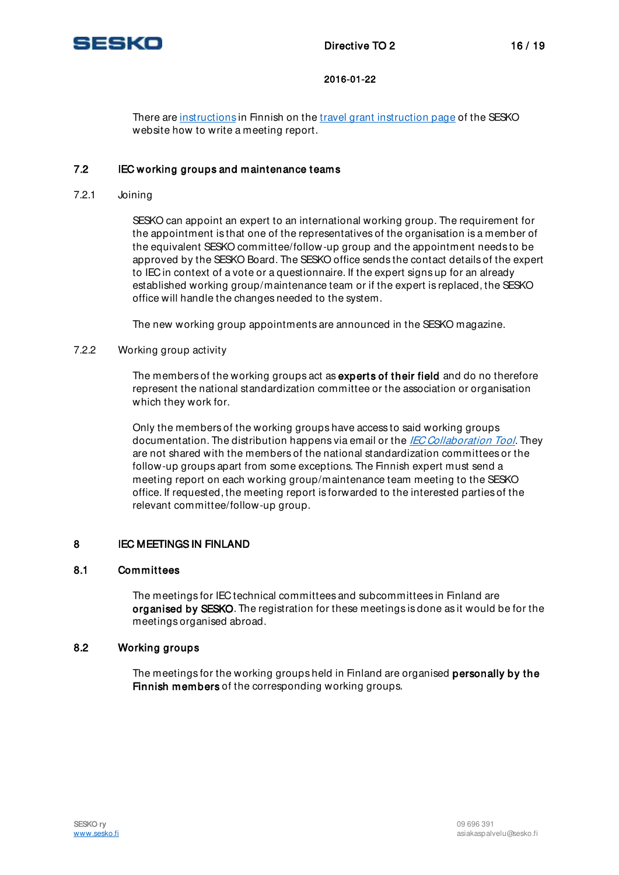

There are [instructions](http://www.sesko.fi/files/64/Kokousselostuksen_laadintaohje.pdf) in Finnish on the [travel grant instruction page o](http://www.sesko.fi/osallistuminen/ohjeita_asiantuntijoille/matka-avustus_ja_ohjeet)f the SESKO website how to write a meeting report.

### 7.2 IEC working groups and maintenance teams

7.2.1 Joining

SESKO can appoint an expert to an international working group. The requirement for the appointment is that one of the representatives of the organisation is a member of the equivalent SESKO committee/follow-up group and the appointment needs to be approved by the SESKO Board. The SESKO office sends the contact details of the expert to IEC in context of a vote or a questionnaire. If the expert signs up for an already established working group/maintenance team or if the expert is replaced, the SESKO office will handle the changes needed to the system.

The new working group appointments are announced in the SESKO magazine.

### 7.2.2 Working group activity

The members of the working groups act as experts of their field and do no therefore represent the national standardization committee or the association or organisation which they work for.

Only the members of the working groups have access to said working groups documentation. The distribution happens via email or the *[IEC Collaboration Tool](http://collaborationclc.iec.ch/)*. They are not shared with the members of the national standardization committees or the follow-up groups apart from some exceptions. The Finnish expert must send a meeting report on each working group/maintenance team meeting to the SESKO office. If requested, the meeting report is forwarded to the interested parties of the relevant committee/follow-up group.

### 8 IEC MEETINGS IN FINLAND

### 8.1 Committees

The meetings for IEC technical committees and subcommittees in Finland are organised by SESKO. The registration for these meetings is done as it would be for the meetings organised abroad.

### 8.2 Working groups

The meetings for the working groups held in Finland are organised personally by the Finnish members of the corresponding working groups.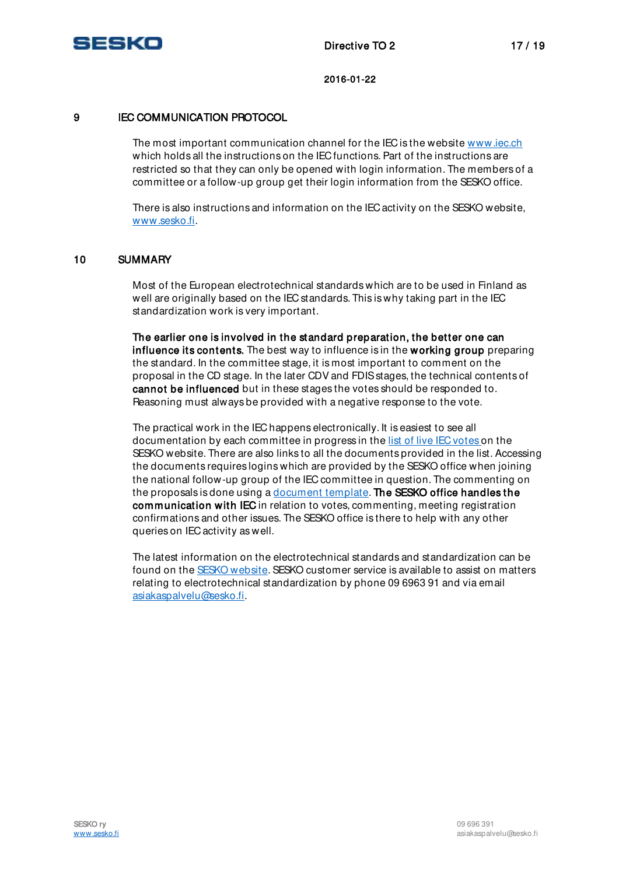

# 9 **IEC COMMUNICATION PROTOCOL**

The most important communication channel for the IEC is the website [www.iec.ch](file:///C:/TYÖDOKUMENTIT/DUUNIT/TO-ohjeet/TO%202/www.iec.ch)  which holds all the instructions on the IEC functions. Part of the instructions are restricted so that they can only be opened with login information. The members of a committee or a follow-up group get their login information from the SESKO office.

There is also instructions and information on the IEC activity on the SESKO website, [www.sesko.fi.](http://www.sesko.fi/) 

# 10 SUMMARY

Most of the European electrotechnical standards which are to be used in Finland as well are originally based on the IEC standards. This is why taking part in the IEC standardization work is very important.

The earlier one is involved in the standard preparation, the better one can influence its contents. The best way to influence is in the working group preparing the standard. In the committee stage, it is most important to comment on the proposal in the CD stage. In the later CDV and FDIS stages, the technical contents of cannot be influenced but in these stages the votes should be responded to. Reasoning must always be provided with a negative response to the vote.

The practical work in the IEC happens electronically. It is easiest to see all documentation by each committee in progress in th[e list of live IEC votes o](http://www.sesko.fi/files/549/iecvote.htm)n the SESKO website. There are also links to all the documents provided in the list. Accessing the documents requires logins which are provided by the SESKO office when joining the national follow-up group of the IEC committee in question. The commenting on the proposals is done using a [document template.](http://www.iec.ch/standardsdev/resources/forms_templates/documents/Form-Comments.doc) The SESKO office handles the communication with IEC in relation to votes, commenting, meeting registration confirmations and other issues. The SESKO office is there to help with any other queries on IEC activity as well.

The latest information on the electrotechnical standards and standardization can be found on th[e SESKO website.](http://www.sesko.fi/en) SESKO customer service is available to assist on matters relating to electrotechnical standardization by phone 09 6963 91 and via email [asiakaspalvelu@sesko.fi.](mailto:asiakaspalvelu@sesko.fi)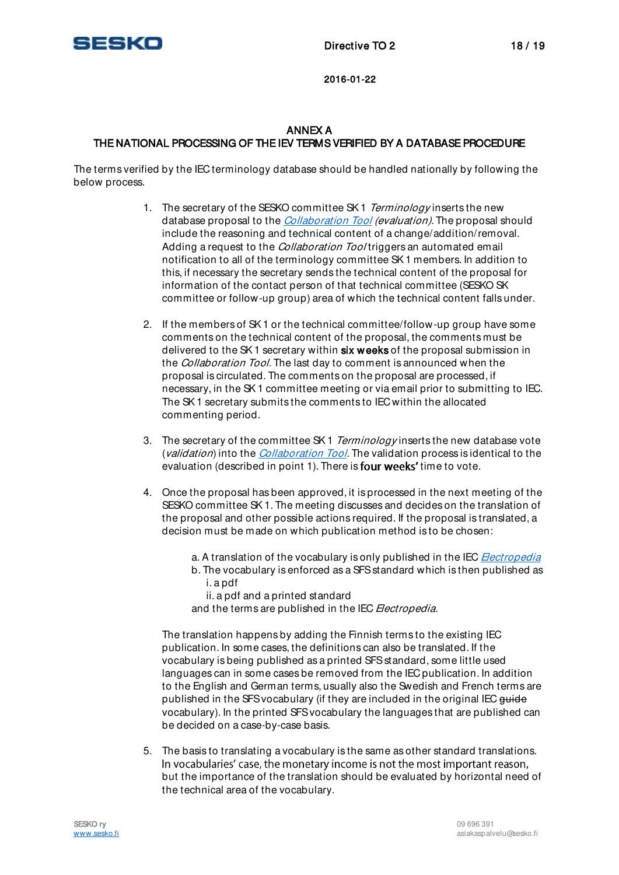

# ANNEX A THE NATIONAL PROCESSING OF THE IEV TERMS VERIFIED BY A DATABASE PROCEDURE

The terms verified by the IEC terminology database should be handled nationally by following the below process.

- 1. The secretary of the SESKO committee SK1 Terminology inserts the new database proposal to the [Collaboration Tool](http://collaborationclc.iec.ch/) (evaluation). The proposal should include the reasoning and technical content of a change/addition/removal. Adding a request to the *Collaboration Tool* triggers an automated email notification to all of the terminology committee SK 1 members. In addition to this, if necessary the secretary sends the technical content of the proposal for information of the contact person of that technical committee (SESKO SK committee or follow-up group) area of which the technical content falls under.
- 2. If the members of SK 1 or the technical committee/follow-up group have some comments on the technical content of the proposal, the comments must be delivered to the SK1 secretary within six weeks of the proposal submission in the *Collaboration Tool*. The last day to comment is announced when the proposal is circulated. The comments on the proposal are processed, if necessary, in the SK 1 committee meeting or via email prior to submitting to IEC. The SK 1 secretary submits the comments to IEC within the allocated commenting period.
- 3. The secretary of the committee SK1 Terminology inserts the new database vote (*validation*) into the *[Collaboration Tool](http://collaborationclc.iec.ch/)*. The validation process is identical to the evaluation (described in point 1). There is **four weeks'** time to vote.
- 4. Once the proposal has been approved, it is processed in the next meeting of the SESKO committee SK 1. The meeting discusses and decides on the translation of the proposal and other possible actions required. If the proposal is translated, a decision must be made on which publication method is to be chosen:
	- a. A translation of the vocabulary is only published in the IEC **[Electropedia](http://www.electropedia.org/)**
	- b. The vocabulary is enforced as a SFS standard which is then published as i. a pdf
		- ii. a pdf and a printed standard

and the terms are published in the IEC *Electropedia*.

The translation happens by adding the Finnish terms to the existing IEC publication. In some cases, the definitions can also be translated. If the vocabulary is being published as a printed SFS standard, some little used languages can in some cases be removed from the IEC publication. In addition to the English and German terms, usually also the Swedish and French terms are published in the SFS vocabulary (if they are included in the original IEC guide vocabulary). In the printed SFS vocabulary the languages that are published can be decided on a case-by-case basis.

5. The basis to translating a vocabulary is the same as other standard translations. In vocabularies' case, the monetary income is not the most important reason, but the importance of the translation should be evaluated by horizontal need of the technical area of the vocabulary.